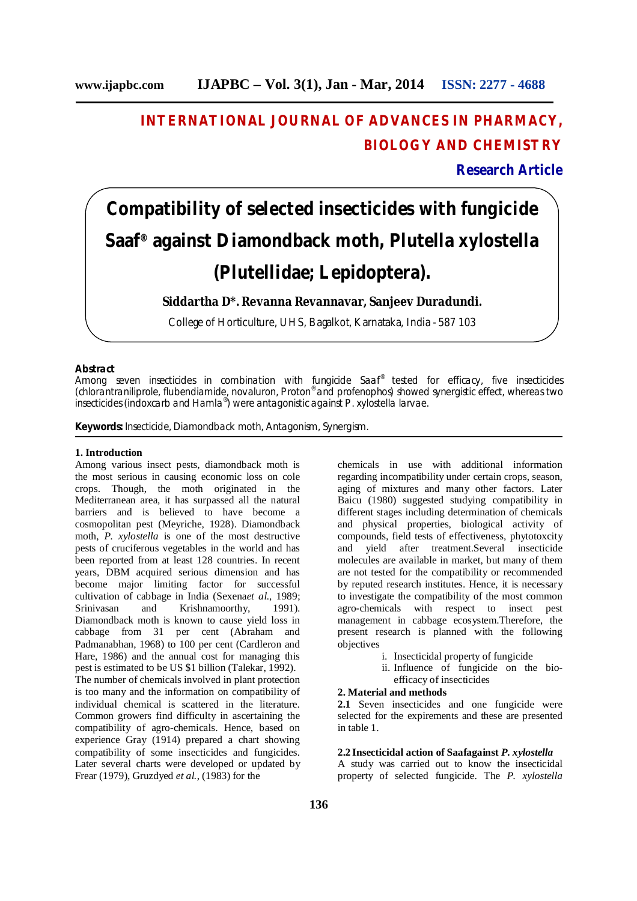## **INTERNATIONAL JOURNAL OF ADVANCES IN PHARMACY, BIOLOGY AND CHEMISTRY**

### **Research Article**

# **Compatibility of selected insecticides with fungicide Saaf® against Diamondback moth,** *Plutella xylostella*  **(Plutellidae; Lepidoptera).**

**Siddartha D\*. Revanna Revannavar, Sanjeev Duradundi.**

College of Horticulture, UHS, Bagalkot, Karnataka, India - 587 103

#### **Abstract**

Among seven insecticides in combination with fungicide Saaf® tested for efficacy, five insecticides (chlorantraniliprole, flubendiamide, novaluron, Proton® and profenophos) showed synergistic effect, whereas two insecticides (indoxcarb and Hamla® ) were antagonistic against *P. xylostella* larvae.

**Keywords:** Insecticide, Diamondback moth, Antagonism, Synergism.

#### **1. Introduction**

Among various insect pests, diamondback moth is the most serious in causing economic loss on cole crops. Though, the moth originated in the Mediterranean area, it has surpassed all the natural barriers and is believed to have become a cosmopolitan pest (Meyriche, 1928). Diamondback moth, *P. xylostella* is one of the most destructive pests of cruciferous vegetables in the world and has been reported from at least 128 countries. In recent years, DBM acquired serious dimension and has become major limiting factor for successful cultivation of cabbage in India (Sexena*et al.*, 1989; Srinivasan and Krishnamoorthy, 1991). Diamondback moth is known to cause yield loss in cabbage from 31 per cent (Abraham and Padmanabhan, 1968) to 100 per cent (Cardleron and Hare, 1986) and the annual cost for managing this pest is estimated to be US \$1 billion (Talekar, 1992). The number of chemicals involved in plant protection is too many and the information on compatibility of individual chemical is scattered in the literature. Common growers find difficulty in ascertaining the compatibility of agro-chemicals. Hence, based on experience Gray (1914) prepared a chart showing compatibility of some insecticides and fungicides. Later several charts were developed or updated by Frear (1979), Gruzdyed *et al.*, (1983) for the

chemicals in use with additional information regarding incompatibility under certain crops, season, aging of mixtures and many other factors. Later Baicu (1980) suggested studying compatibility in different stages including determination of chemicals and physical properties, biological activity of compounds, field tests of effectiveness, phytotoxcity and yield after treatment.Several insecticide molecules are available in market, but many of them are not tested for the compatibility or recommended by reputed research institutes. Hence, it is necessary to investigate the compatibility of the most common agro-chemicals with respect to insect pest management in cabbage ecosystem.Therefore, the present research is planned with the following objectives

- i. Insecticidal property of fungicide
- ii. Influence of fungicide on the bio-
- efficacy of insecticides

#### **2. Material and methods**

**2.1** Seven insecticides and one fungicide were selected for the expirements and these are presented in table 1.

#### **2.2 Insecticidal action of Saafagainst** *P. xylostella*

A study was carried out to know the insecticidal property of selected fungicide. The *P. xylostella*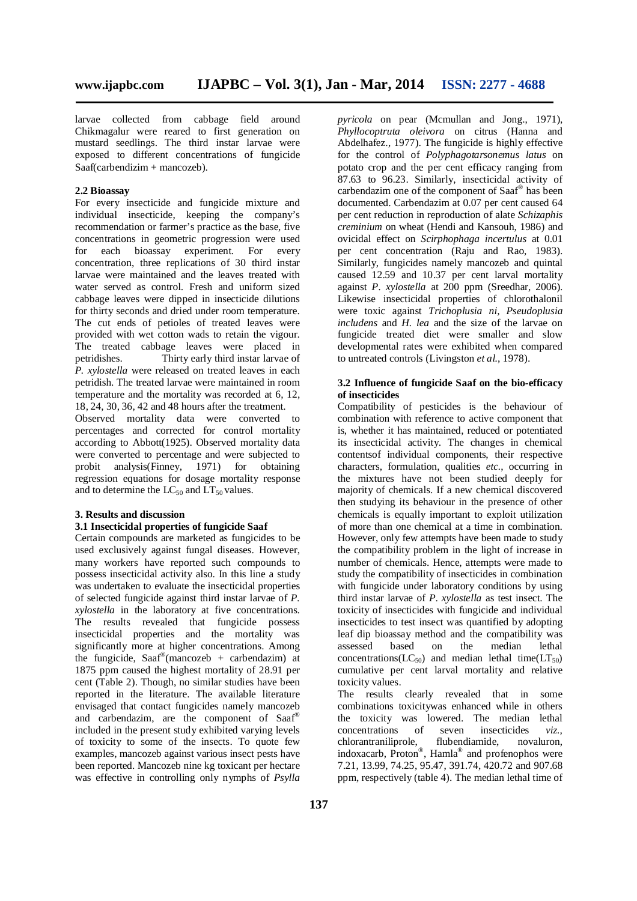larvae collected from cabbage field around Chikmagalur were reared to first generation on mustard seedlings. The third instar larvae were exposed to different concentrations of fungicide Saaf(carbendizim + mancozeb).

#### **2.2 Bioassay**

For every insecticide and fungicide mixture and individual insecticide, keeping the company's recommendation or farmer's practice as the base, five concentrations in geometric progression were used for each bioassay experiment. For every concentration, three replications of 30 third instar larvae were maintained and the leaves treated with water served as control. Fresh and uniform sized cabbage leaves were dipped in insecticide dilutions for thirty seconds and dried under room temperature. The cut ends of petioles of treated leaves were provided with wet cotton wads to retain the vigour. The treated cabbage leaves were placed in petridishes. Thirty early third instar larvae of Thirty early third instar larvae of *P. xylostella* were released on treated leaves in each petridish. The treated larvae were maintained in room temperature and the mortality was recorded at 6, 12, 18, 24, 30, 36, 42 and 48 hours after the treatment. Observed mortality data were converted to

percentages and corrected for control mortality according to Abbott(1925). Observed mortality data were converted to percentage and were subjected to probit analysis(Finney, 1971) for obtaining regression equations for dosage mortality response and to determine the  $LC_{50}$  and  $LT_{50}$  values.

#### **3. Results and discussion**

#### **3.1 Insecticidal properties of fungicide Saaf**

Certain compounds are marketed as fungicides to be used exclusively against fungal diseases. However, many workers have reported such compounds to possess insecticidal activity also. In this line a study was undertaken to evaluate the insecticidal properties of selected fungicide against third instar larvae of *P. xylostella* in the laboratory at five concentrations. The results revealed that fungicide possess insecticidal properties and the mortality was significantly more at higher concentrations. Among the fungicide, Saaf® (mancozeb + carbendazim) at 1875 ppm caused the highest mortality of 28.91 per cent (Table 2). Though, no similar studies have been reported in the literature. The available literature envisaged that contact fungicides namely mancozeb and carbendazim, are the component of Saaf® included in the present study exhibited varying levels of toxicity to some of the insects. To quote few examples, mancozeb against various insect pests have been reported. Mancozeb nine kg toxicant per hectare was effective in controlling only nymphs of *Psylla*

*pyricola* on pear (Mcmullan and Jong., 1971), *Phyllocoptruta oleivora* on citrus (Hanna and Abdelhafez., 1977). The fungicide is highly effective for the control of *Polyphagotarsonemus latus* on potato crop and the per cent efficacy ranging from 87.63 to 96.23. Similarly, insecticidal activity of carbendazim one of the component of Saaf® has been documented. Carbendazim at 0.07 per cent caused 64 per cent reduction in reproduction of alate *Schizaphis creminium* on wheat (Hendi and Kansouh, 1986) and ovicidal effect on *Scirphophaga incertulus* at 0.01 per cent concentration (Raju and Rao, 1983). Similarly, fungicides namely mancozeb and quintal caused 12.59 and 10.37 per cent larval mortality against *P. xylostella* at 200 ppm (Sreedhar, 2006). Likewise insecticidal properties of chlorothalonil were toxic against *Trichoplusia ni, Pseudoplusia includens* and *H. lea* and the size of the larvae on fungicide treated diet were smaller and slow developmental rates were exhibited when compared to untreated controls (Livingston *et al.*, 1978).

#### **3.2 Influence of fungicide Saaf on the bio-efficacy of insecticides**

Compatibility of pesticides is the behaviour of combination with reference to active component that is, whether it has maintained, reduced or potentiated its insecticidal activity. The changes in chemical contentsof individual components, their respective characters, formulation, qualities *etc.*, occurring in the mixtures have not been studied deeply for majority of chemicals. If a new chemical discovered then studying its behaviour in the presence of other chemicals is equally important to exploit utilization of more than one chemical at a time in combination. However, only few attempts have been made to study the compatibility problem in the light of increase in number of chemicals. Hence, attempts were made to study the compatibility of insecticides in combination with fungicide under laboratory conditions by using third instar larvae of *P*. *xylostella* as test insect. The toxicity of insecticides with fungicide and individual insecticides to test insect was quantified by adopting leaf dip bioassay method and the compatibility was assessed based on the median lethal concentrations( $LC_{50}$ ) and median lethal time( $LT_{50}$ ) cumulative per cent larval mortality and relative toxicity values.

The results clearly revealed that in some combinations toxicitywas enhanced while in others the toxicity was lowered. The median lethal concentrations of seven insecticides *viz.,*  chlorantraniliprole, flubendiamide, novaluron, indoxacarb, Proton®, Hamla® and profenophos were 7.21, 13.99, 74.25, 95.47, 391.74, 420.72 and 907.68 ppm, respectively (table 4). The median lethal time of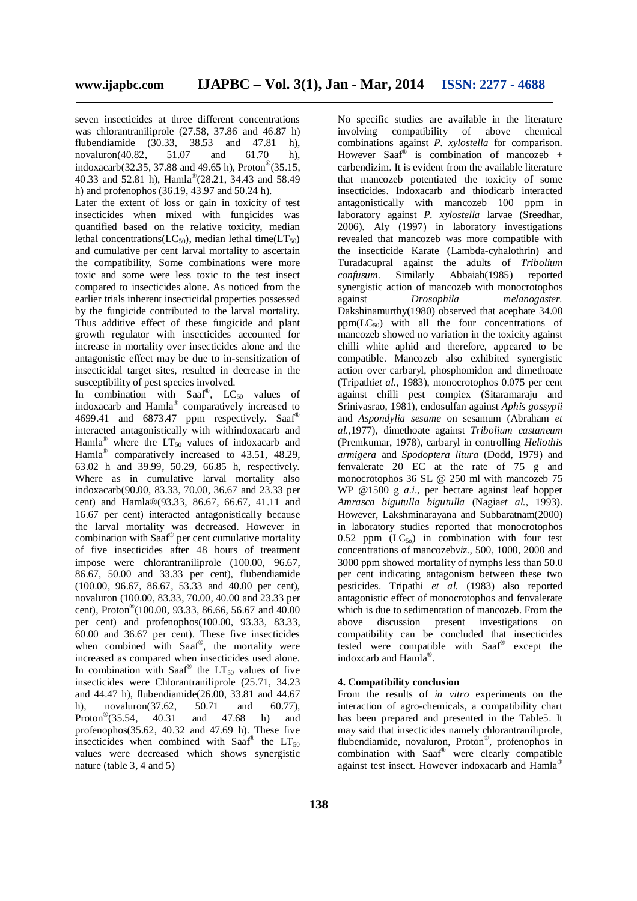seven insecticides at three different concentrations was chlorantraniliprole (27.58, 37.86 and 46.87 h) flubendiamide (30.33, 38.53 and 47.81 h), novaluron(40.82, 51.07 and 61.70 h), indoxacarb(32.35, 37.88 and 49.65 h), Proton® (35.15, 40.33 and 52.81 h), Hamla® (28.21, 34.43 and 58.49 h) and profenophos (36.19, 43.97 and 50.24 h).

Later the extent of loss or gain in toxicity of test insecticides when mixed with fungicides was quantified based on the relative toxicity, median lethal concentrations( $LC_{50}$ ), median lethal time( $LT_{50}$ ) and cumulative per cent larval mortality to ascertain the compatibility, Some combinations were more toxic and some were less toxic to the test insect compared to insecticides alone. As noticed from the earlier trials inherent insecticidal properties possessed by the fungicide contributed to the larval mortality. Thus additive effect of these fungicide and plant growth regulator with insecticides accounted for increase in mortality over insecticides alone and the antagonistic effect may be due to in-sensitization of insecticidal target sites, resulted in decrease in the susceptibility of pest species involved.

In combination with Saaf®,  $LC_{50}$  values of indoxacarb and Hamla® comparatively increased to 4699.41 and 6873.47 ppm respectively. Saaf® interacted antagonistically with withindoxacarb and Hamla<sup>®</sup> where the  $LT_{50}$  values of indoxacarb and Hamla® comparatively increased to 43.51, 48.29, 63.02 h and 39.99, 50.29, 66.85 h, respectively. Where as in cumulative larval mortality also indoxacarb(90.00, 83.33, 70.00, 36.67 and 23.33 per cent) and Hamla®(93.33, 86.67, 66.67, 41.11 and 16.67 per cent) interacted antagonistically because the larval mortality was decreased. However in combination with Saaf® per cent cumulative mortality of five insecticides after 48 hours of treatment impose were chlorantraniliprole (100.00, 96.67, 86.67, 50.00 and 33.33 per cent), flubendiamide (100.00, 96.67, 86.67, 53.33 and 40.00 per cent), novaluron (100.00, 83.33, 70.00, 40.00 and 23.33 per cent), Proton® (100.00, 93.33, 86.66, 56.67 and 40.00 per cent) and profenophos(100.00, 93.33, 83.33, 60.00 and 36.67 per cent). These five insecticides when combined with Saaf® , the mortality were increased as compared when insecticides used alone. In combination with Saaf® the  $LT_{50}$  values of five insecticides were Chlorantraniliprole (25.71, 34.23 and 44.47 h), flubendiamide(26.00, 33.81 and 44.67 h), novaluron(37.62, 50.71 and 60.77), Proton<sup>®</sup> $(35.54.$ (35.54, 40.31 and 47.68 h) and profenophos $(35.62, 40.32, 40.32)$  and  $(47.69)$  h). These five insecticides when combined with Saaf® the  $LT_{50}$ values were decreased which shows synergistic nature (table 3, 4 and 5)

No specific studies are available in the literature involving compatibility of above chemical combinations against *P. xylostella* for comparison. However Saaf<sup>®</sup> is combination of mancozeb + carbendizim. It is evident from the available literature that mancozeb potentiated the toxicity of some insecticides. Indoxacarb and thiodicarb interacted antagonistically with mancozeb 100 ppm in laboratory against *P. xylostella* larvae (Sreedhar, 2006). Aly (1997) in laboratory investigations revealed that mancozeb was more compatible with the insecticide Karate (Lambda-cyhalothrin) and Turadacupral against the adults of *Tribolium confusum*. Similarly Abbaiah(1985) reported synergistic action of mancozeb with monocrotophos against *Drosophila melanogaster.*  Dakshinamurthy(1980) observed that acephate 34.00  $ppm(LC_{50})$  with all the four concentrations of mancozeb showed no variation in the toxicity against chilli white aphid and therefore, appeared to be compatible. Mancozeb also exhibited synergistic action over carbaryl, phosphomidon and dimethoate (Tripathi*et al.,* 1983), monocrotophos 0.075 per cent against chilli pest compiex (Sitaramaraju and Srinivasrao, 1981), endosulfan against *Aphis gossypii* and *Aspondylia sesame* on sesamum (Abraham *et al.*,1977), dimethoate against *Tribolium castaneum* (Premkumar, 1978), carbaryl in controlling *Heliothis armigera* and *Spodoptera litura* (Dodd, 1979) and fenvalerate 20 EC at the rate of 75 g and monocrotophos 36 SL @ 250 ml with mancozeb 75 WP @1500 g *a.i*., per hectare against leaf hopper *Amrasca bigutulla bigutulla* (Nagia*et al.*, 1993). However, Lakshminarayana and Subbaratnam(2000) in laboratory studies reported that monocrotophos 0.52 ppm  $(LC_{50})$  in combination with four test concentrations of mancozeb*viz.,* 500, 1000, 2000 and 3000 ppm showed mortality of nymphs less than 50.0 per cent indicating antagonism between these two pesticides. Tripathi *et al.* (1983) also reported antagonistic effect of monocrotophos and fenvalerate which is due to sedimentation of mancozeb. From the above discussion present investigations on compatibility can be concluded that insecticides tested were compatible with Saaf® except the indoxcarb and Hamla® .

#### **4. Compatibility conclusion**

From the results of *in vitro* experiments on the interaction of agro-chemicals, a compatibility chart has been prepared and presented in the Table5. It may said that insecticides namely chlorantraniliprole, flubendiamide, novaluron, Proton® , profenophos in combination with Saaf® were clearly compatible against test insect. However indoxacarb and Hamla®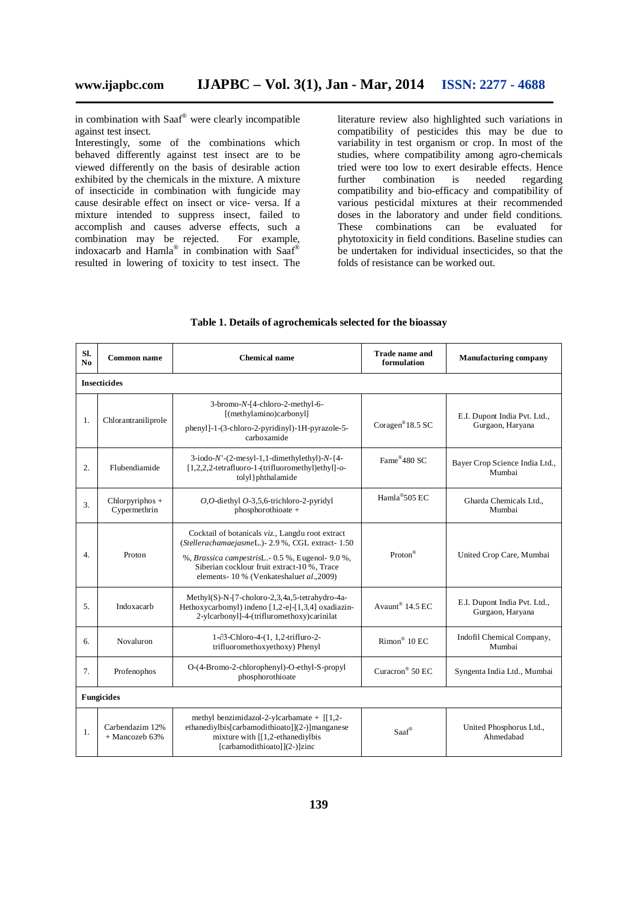in combination with Saaf® were clearly incompatible against test insect.

Interestingly, some of the combinations which behaved differently against test insect are to be viewed differently on the basis of desirable action exhibited by the chemicals in the mixture. A mixture of insecticide in combination with fungicide may cause desirable effect on insect or vice- versa. If a mixture intended to suppress insect, failed to accomplish and causes adverse effects, such a combination may be rejected. For example, indoxacarb and Hamla® in combination with Saaf® resulted in lowering of toxicity to test insect. The

literature review also highlighted such variations in compatibility of pesticides this may be due to variability in test organism or crop. In most of the studies, where compatibility among agro-chemicals tried were too low to exert desirable effects. Hence further combination is needed regarding compatibility and bio-efficacy and compatibility of various pesticidal mixtures at their recommended doses in the laboratory and under field conditions. These combinations can be evaluated for phytotoxicity in field conditions. Baseline studies can be undertaken for individual insecticides, so that the folds of resistance can be worked out.

| SI.<br>N <sub>0</sub> | Common name                                                                                                                                                                                                 | Chemical name                                                                                                                                                                                                                                        | <b>Trade name and</b><br>formulation | <b>Manufacturing company</b>                     |  |  |  |  |  |  |  |
|-----------------------|-------------------------------------------------------------------------------------------------------------------------------------------------------------------------------------------------------------|------------------------------------------------------------------------------------------------------------------------------------------------------------------------------------------------------------------------------------------------------|--------------------------------------|--------------------------------------------------|--|--|--|--|--|--|--|
|                       | <b>Insecticides</b>                                                                                                                                                                                         |                                                                                                                                                                                                                                                      |                                      |                                                  |  |  |  |  |  |  |  |
| 1.                    | Chlorantraniliprole                                                                                                                                                                                         | 3-bromo-N-[4-chloro-2-methyl-6-<br>[(methylamino)carbonyl]<br>phenyl]-1-(3-chloro-2-pyridinyl)-1H-pyrazole-5-<br>carboxamide                                                                                                                         | Coragen <sup>®</sup> 18.5 SC         | E.I. Dupont India Pvt. Ltd.,<br>Gurgaon, Haryana |  |  |  |  |  |  |  |
| $\overline{2}$ .      | Flubendiamide                                                                                                                                                                                               | $3-iodo-N'-(2-mesyl-1,1-dimethylethyl)-N-(4-$<br>[1,2,2,2-tetrafluoro-1-(trifluoromethyl)ethyl]-o-<br>tolyl } phthalamide                                                                                                                            | Fame®480 SC                          | Bayer Crop Science India Ltd.,<br>Mumbai         |  |  |  |  |  |  |  |
| 3.                    | $Chlorpyriphos +$<br>Cypermethrin                                                                                                                                                                           | $O, O$ -diethyl $O$ -3,5,6-trichloro-2-pyridyl<br>phosphorothioate +                                                                                                                                                                                 | Hamla <sup>®</sup> 505 EC            | Gharda Chemicals Ltd<br>Mumbai                   |  |  |  |  |  |  |  |
| $\overline{4}$ .      | Proton                                                                                                                                                                                                      | Cocktail of botanicals viz., Langdu root extract<br>(StellerachamaejasmeL.) - 2.9 %, CGL extract- 1.50<br>%, Brassica campestrisL.- 0.5 %, Eugenol- 9.0 %,<br>Siberian cocklour fruit extract-10%, Trace<br>elements-10 % (Venkateshaluet al., 2009) | Proton®                              | United Crop Care, Mumbai                         |  |  |  |  |  |  |  |
| 5.                    | Indoxacarb                                                                                                                                                                                                  | Methyl(S)-N-[7-choloro-2,3,4a,5-tetrahydro-4a-<br>Hethoxycarbomyl) indeno [1,2-e]-[1,3,4] oxadiazin-<br>2-ylcarbonyl]-4-(trifluromethoxy)carinilat                                                                                                   | Avaunt® $14.5$ EC                    | E.I. Dupont India Pvt. Ltd.,<br>Gurgaon, Haryana |  |  |  |  |  |  |  |
| б.                    | Novaluron                                                                                                                                                                                                   | 1-∂3-Chloro-4-(1, 1,2-trifluro-2-<br>trifluoromethoxyethoxy) Phenyl                                                                                                                                                                                  | $Rimon^@$ 10 EC                      | Indofil Chemical Company,<br>Mumbai              |  |  |  |  |  |  |  |
| 7.                    | Profenophos                                                                                                                                                                                                 | O-(4-Bromo-2-chlorophenyl)-O-ethyl-S-propyl<br>phosphorothioate                                                                                                                                                                                      | Curacron <sup>®</sup> 50 EC          | Syngenta India Ltd., Mumbai                      |  |  |  |  |  |  |  |
| <b>Fungicides</b>     |                                                                                                                                                                                                             |                                                                                                                                                                                                                                                      |                                      |                                                  |  |  |  |  |  |  |  |
| 1.                    | methyl benzimidazol-2-ylcarbamate + $[1,2-$<br>ethanediylbis[carbamodithioato]](2-)]manganese<br>Carbendazim 12%<br>mixture with $[[1,2-ethaned$ iylbis<br>$+$ Mancozeb 63%<br>[carbamodithioato]](2-)]zinc |                                                                                                                                                                                                                                                      | Saaf®                                | United Phosphorus Ltd.,<br>Ahmedabad             |  |  |  |  |  |  |  |

### **Table 1. Details of agrochemicals selected for the bioassay**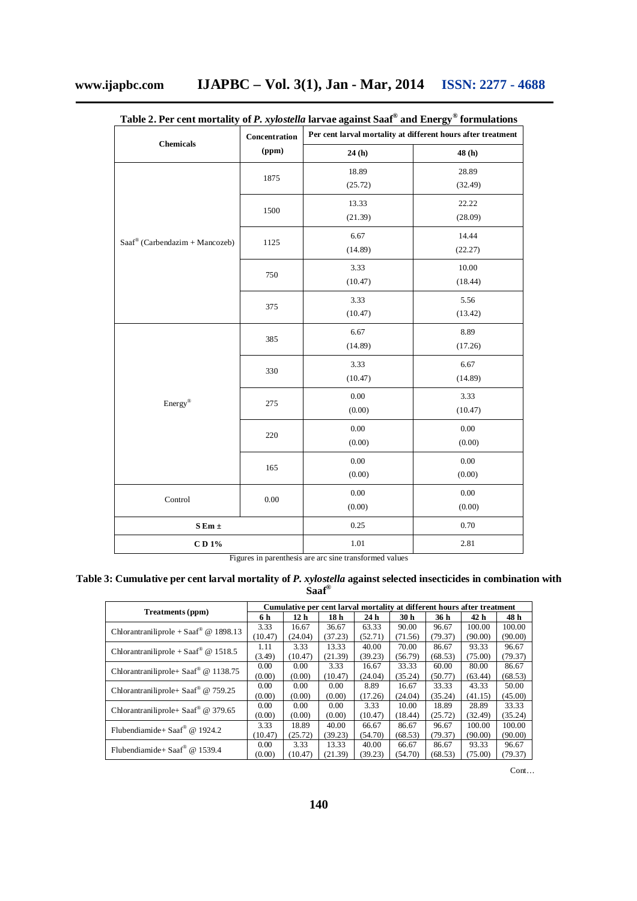|                                               | Concentration | Per cent larval mortality at different hours after treatment |                    |  |  |
|-----------------------------------------------|---------------|--------------------------------------------------------------|--------------------|--|--|
| <b>Chemicals</b>                              | (ppm)         | 24(h)                                                        | 48 (h)             |  |  |
|                                               | 1875          | 18.89<br>(25.72)                                             | 28.89<br>(32.49)   |  |  |
|                                               | 1500          | 13.33<br>(21.39)                                             | 22.22<br>(28.09)   |  |  |
| $Saaf^{\circledast}$ (Carbendazim + Mancozeb) | 1125          | 6.67<br>(14.89)                                              | 14.44<br>(22.27)   |  |  |
|                                               | 750           | 3.33<br>(10.47)                                              | 10.00<br>(18.44)   |  |  |
|                                               | 375           | 3.33<br>(10.47)                                              | 5.56<br>(13.42)    |  |  |
|                                               | 385           | 6.67<br>(14.89)                                              | 8.89<br>(17.26)    |  |  |
|                                               | 330           | 3.33<br>(10.47)                                              | 6.67<br>(14.89)    |  |  |
| Energy®                                       | 275           | $0.00\,$<br>(0.00)                                           | 3.33<br>(10.47)    |  |  |
|                                               | $220\,$       | $0.00\,$<br>(0.00)                                           | $0.00\,$<br>(0.00) |  |  |
|                                               | 165           | $0.00\,$<br>(0.00)                                           | $0.00\,$<br>(0.00) |  |  |
| Control                                       | 0.00          | 0.00<br>(0.00)                                               | $0.00\,$<br>(0.00) |  |  |
| ${\bf S}$ Em $\pm$                            |               | 0.25                                                         | 0.70               |  |  |
| $CD 1\%$                                      |               | 1.01                                                         | 2.81               |  |  |

**Table 2. Per cent mortality of** *P. xylostella* **larvae against Saaf® and Energy® formulations**

Figures in parenthesis are arc sine transformed values

|  | Table 3: Cumulative per cent larval mortality of P. xylostella against selected insecticides in combination with |                           |  |  |
|--|------------------------------------------------------------------------------------------------------------------|---------------------------|--|--|
|  |                                                                                                                  | $S\text{aaf}^{\circledR}$ |  |  |

|                                                   | Cumulative per cent larval mortality at different hours after treatment |                 |                 |                 |         |         |                 |         |  |
|---------------------------------------------------|-------------------------------------------------------------------------|-----------------|-----------------|-----------------|---------|---------|-----------------|---------|--|
| Treatments (ppm)                                  | 6 h                                                                     | 12 <sub>h</sub> | 18 <sub>h</sub> | 24 <sub>h</sub> | 30 h    | 36 h    | 42 <sub>h</sub> | 48 h    |  |
| Chlorantraniliprole + Saaf <sup>®</sup> @ 1898.13 | 3.33                                                                    | 16.67           | 36.67           | 63.33           | 90.00   | 96.67   | 100.00          | 100.00  |  |
|                                                   | (10.47)                                                                 | (24.04)         | (37.23)         | (52.71)         | (71.56) | (79.37) | (90.00)         | (90.00) |  |
| Chlorantraniliprole + Saaf <sup>®</sup> @ 1518.5  | 1.11                                                                    | 3.33            | 13.33           | 40.00           | 70.00   | 86.67   | 93.33           | 96.67   |  |
|                                                   | (3.49)                                                                  | (10.47)         | (21.39)         | (39.23)         | (56.79) | (68.53) | (75.00)         | (79.37) |  |
| Chlorantraniliprole + Saaf <sup>®</sup> @ 1138.75 | 0.00                                                                    | 0.00            | 3.33            | 16.67           | 33.33   | 60.00   | 80.00           | 86.67   |  |
|                                                   | (0.00)                                                                  | (0.00)          | (10.47)         | (24.04)         | (35.24) | (50.77) | (63.44)         | (68.53) |  |
| Chlorantraniliprole + Saaf <sup>®</sup> @ 759.25  | 0.00                                                                    | 0.00            | 0.00            | 8.89            | 16.67   | 33.33   | 43.33           | 50.00   |  |
|                                                   | (0.00)                                                                  | (0.00)          | (0.00)          | (17.26)         | (24.04) | (35.24) | (41.15)         | (45.00) |  |
| Chlorantraniliprole+ Saaf <sup>®</sup> @ 379.65   | 0.00                                                                    | 0.00            | 0.00            | 3.33            | 10.00   | 18.89   | 28.89           | 33.33   |  |
|                                                   | (0.00)                                                                  | (0.00)          | (0.00)          | (10.47)         | (18.44) | (25.72) | (32.49)         | (35.24) |  |
| Flubendiamide + Saaf <sup>®</sup> @ 1924.2        | 3.33                                                                    | 18.89           | 40.00           | 66.67           | 86.67   | 96.67   | 100.00          | 100.00  |  |
|                                                   | (10.47)                                                                 | (25.72)         | (39.23)         | (54.70)         | (68.53) | (79.37) | (90.00)         | (90.00) |  |
| Flubendiamide + Saaf <sup>®</sup> @ 1539.4        | 0.00                                                                    | 3.33            | 13.33           | 40.00           | 66.67   | 86.67   | 93.33           | 96.67   |  |
|                                                   | (0.00)                                                                  | (10.47)         | (21.39)         | (39.23)         | (54.70) | (68.53) | (75.00)         | (79.37) |  |

Cont…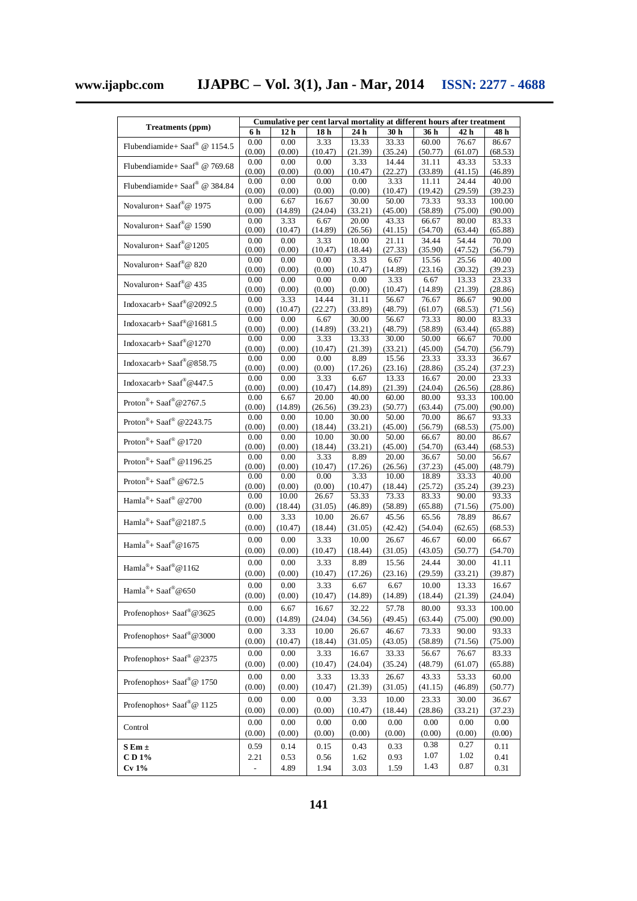**www.ijapbc.com IJAPBC – Vol. 3(1), Jan - Mar, 2014 ISSN: 2277 - 4688**

|                                                 |                |                 |                 |                  | Cumulative per cent larval mortality at different hours after treatment |                  |                  |                  |
|-------------------------------------------------|----------------|-----------------|-----------------|------------------|-------------------------------------------------------------------------|------------------|------------------|------------------|
| Treatments (ppm)                                | 6 h            | 12 <sub>h</sub> | 18 <sub>h</sub> | 24 h             | 30 h                                                                    | 36 h             | 42 h             | 48 h             |
| Flubendiamide+ Saaf® @ 1154.5                   | 0.00           | 0.00            | 3.33            | 13.33            | 33.33                                                                   | 60.00            | 76.67            | 86.67            |
|                                                 | (0.00)         | (0.00)          | (10.47)         | (21.39)          | (35.24)                                                                 | (50.77)          | (61.07)          | (68.53)          |
| Flubendiamide+ Saaf® @ 769.68                   | 0.00           | 0.00            | 0.00            | 3.33             | 14.44                                                                   | 31.11            | 43.33            | 53.33            |
|                                                 | (0.00)         | (0.00)          | (0.00)          | (10.47)          | (22.27)                                                                 | (33.89)          | (41.15)          | (46.89)          |
| Flubendiamide+ Saaf® @ 384.84                   | 0.00           | 0.00            | 0.00            | 0.00             | 3.33                                                                    | 11.11            | 24.44            | 40.00            |
|                                                 | (0.00)         | (0.00)          | (0.00)          | (0.00)           | (10.47)                                                                 | (19.42)          | (29.59)          | (39.23)          |
| Novaluron+ Saaf®@ 1975                          | 0.00           | 6.67            | 16.67           | 30.00            | 50.00                                                                   | 73.33            | 93.33            | 100.00           |
|                                                 | (0.00)<br>0.00 | (14.89)<br>3.33 | (24.04)<br>6.67 | (33.21)          | (45.00)<br>43.33                                                        | (58.89)<br>66.67 | (75.00)          | (90.00)          |
| Novaluron+ Saaf®@ 1590                          | (0.00)         | (10.47)         | (14.89)         | 20.00<br>(26.56) | (41.15)                                                                 | (54.70)          | 80.00<br>(63.44) | 83.33<br>(65.88) |
|                                                 | 0.00           | 0.00            | 3.33            | 10.00            | 21.11                                                                   | 34.44            | 54.44            | 70.00            |
| Novaluron+ Saaf®@1205                           | (0.00)         | (0.00)          | (10.47)         | (18.44)          | (27.33)                                                                 | (35.90)          | (47.52)          | (56.79)          |
|                                                 | 0.00           | 0.00            | 0.00            | 3.33             | 6.67                                                                    | 15.56            | 25.56            | 40.00            |
| Novaluron+ Saaf®@ 820                           | (0.00)         | (0.00)          | (0.00)          | (10.47)          | (14.89)                                                                 | (23.16)          | (30.32)          | (39.23)          |
| Novaluron+ Saaf®@ 435                           | 0.00           | 0.00            | 0.00            | 0.00             | 3.33                                                                    | 6.67             | 13.33            | 23.33            |
|                                                 | (0.00)         | (0.00)          | (0.00)          | (0.00)           | (10.47)                                                                 | (14.89)          | (21.39)          | (28.86)          |
| Indoxacarb+ Saaf®@2092.5                        | 0.00           | 3.33            | 14.44           | 31.11            | 56.67                                                                   | 76.67            | 86.67            | 90.00            |
|                                                 | (0.00)         | (10.47)         | (22.27)         | (33.89)          | (48.79)                                                                 | (61.07)          | (68.53)          | (71.56)          |
| Indoxacarb+ Saaf®@1681.5                        | 0.00           | 0.00            | 6.67            | 30.00            | 56.67                                                                   | 73.33            | 80.00            | 83.33            |
|                                                 | (0.00)         | (0.00)          | (14.89)         | (33.21)          | (48.79)                                                                 | (58.89)          | (63.44)          | (65.88)          |
| Indoxacarb+ Saaf®@1270                          | 0.00           | 0.00            | 3.33            | 13.33<br>(21.39) | 30.00                                                                   | 50.00            | 66.67<br>(54.70) | 70.00            |
|                                                 | (0.00)<br>0.00 | (0.00)<br>0.00  | (10.47)<br>0.00 | 8.89             | (33.21)<br>15.56                                                        | (45.00)<br>23.33 | 33.33            | (56.79)<br>36.67 |
| Indoxacarb+ Saaf®@858.75                        | (0.00)         | (0.00)          | (0.00)          | (17.26)          | (23.16)                                                                 | (28.86)          | (35.24)          | (37.23)          |
|                                                 | 0.00           | 0.00            | 3.33            | 6.67             | 13.33                                                                   | 16.67            | 20.00            | 23.33            |
| Indoxacarb+ Saaf®@447.5                         | (0.00)         | (0.00)          | (10.47)         | (14.89)          | (21.39)                                                                 | (24.04)          | (26.56)          | (28.86)          |
| Proton <sup>®</sup> + Saaf <sup>®</sup> @2767.5 | 0.00           | 6.67            | 20.00           | 40.00            | 60.00                                                                   | 80.00            | 93.33            | 100.00           |
|                                                 | (0.00)         | (14.89)         | (26.56)         | (39.23)          | (50.77)                                                                 | (63.44)          | (75.00)          | (90.00)          |
| Proton <sup>®</sup> + Saaf® @2243.75            | 0.00           | 0.00            | 10.00           | 30.00            | 50.00                                                                   | 70.00            | 86.67            | 93.33            |
|                                                 | (0.00)         | (0.00)          | (18.44)         | (33.21)          | (45.00)                                                                 | (56.79)          | (68.53)          | (75.00)          |
| Proton®+ Saaf® @1720                            | 0.00           | 0.00            | 10.00           | 30.00            | 50.00                                                                   | 66.67            | 80.00            | 86.67            |
|                                                 | (0.00)         | (0.00)          | (18.44)         | (33.21)          | (45.00)                                                                 | (54.70)          | (63.44)          | (68.53)          |
| Proton®+ Saaf® @1196.25                         | 0.00           | 0.00            | 3.33            | 8.89             | 20.00                                                                   | 36.67            | 50.00            | 56.67            |
|                                                 | (0.00)<br>0.00 | (0.00)<br>0.00  | (10.47)<br>0.00 | (17.26)<br>3.33  | (26.56)<br>10.00                                                        | (37.23)<br>18.89 | (45.00)<br>33.33 | (48.79)<br>40.00 |
| Proton®+ Saaf® @672.5                           | (0.00)         | (0.00)          | (0.00)          | (10.47)          | (18.44)                                                                 | (25.72)          | (35.24)          | (39.23)          |
|                                                 | 0.00           | 10.00           | 26.67           | 53.33            | 73.33                                                                   | 83.33            | 90.00            | 93.33            |
| Hamla <sup>®</sup> + Saaf® @2700                | (0.00)         | (18.44)         | (31.05)         | (46.89)          | (58.89)                                                                 | (65.88)          | (71.56)          | (75.00)          |
| Hamla <sup>®</sup> + Saaf®@2187.5               | 0.00           | 3.33            | 10.00           | 26.67            | 45.56                                                                   | 65.56            | 78.89            | 86.67            |
|                                                 | (0.00)         | (10.47)         | (18.44)         | (31.05)          | (42.42)                                                                 | (54.04)          | (62.65)          | (68.53)          |
|                                                 | 0.00           | 0.00            | 3.33            | 10.00            | 26.67                                                                   | 46.67            | 60.00            | 66.67            |
| Hamla <sup>®</sup> + Saaf®@1675                 | (0.00)         | (0.00)          | (10.47)         | (18.44)          | (31.05)                                                                 | (43.05)          | (50.77)          | (54.70)          |
|                                                 | 0.00           | 0.00            | 3.33            | 8.89             | 15.56                                                                   | 24.44            | 30.00            | 41.11            |
| Hamla®+ Saaf®@1162                              | (0.00)         | (0.00)          | (10.47)         | (17.26)          | (23.16)                                                                 | (29.59)          | (33.21)          | (39.87)          |
|                                                 |                |                 |                 |                  |                                                                         |                  |                  |                  |
| Hamla <sup>®</sup> + Saaf®@650                  | 0.00<br>(0.00) | 0.00<br>(0.00)  | 3.33<br>(10.47) | 6.67<br>(14.89)  | 6.67<br>(14.89)                                                         | 10.00<br>(18.44) | 13.33<br>(21.39) | 16.67<br>(24.04) |
|                                                 |                |                 |                 |                  |                                                                         |                  |                  |                  |
| Profenophos+ Saaf®@3625                         | 0.00           | 6.67            | 16.67           | 32.22            | 57.78                                                                   | 80.00            | 93.33            | 100.00           |
|                                                 | (0.00)         | (14.89)         | (24.04)         | (34.56)          | (49.45)                                                                 | (63.44)          | (75.00)          | (90.00)          |
| Profenophos+ Saaf®@3000                         | $0.00\,$       | 3.33            | 10.00           | 26.67            | 46.67                                                                   | 73.33            | 90.00            | 93.33            |
|                                                 | (0.00)         | (10.47)         | (18.44)         | (31.05)          | (43.05)                                                                 | (58.89)          | (71.56)          | (75.00)          |
| Profenophos+ Saaf® @2375                        | $0.00\,$       | $0.00\,$        | 3.33            | 16.67            | 33.33                                                                   | 56.67            | 76.67            | 83.33            |
|                                                 | (0.00)         | (0.00)          | (10.47)         | (24.04)          | (35.24)                                                                 | (48.79)          | (61.07)          | (65.88)          |
| Profenophos+ Saaf®@ 1750                        | 0.00           | 0.00            | 3.33            | 13.33            | 26.67                                                                   | 43.33            | 53.33            | 60.00            |
|                                                 | (0.00)         | (0.00)          | (10.47)         | (21.39)          | (31.05)                                                                 | (41.15)          | (46.89)          | (50.77)          |
|                                                 | 0.00           | 0.00            | 0.00            | 3.33             | 10.00                                                                   | 23.33            | 30.00            | 36.67            |
| Profenophos+ Saaf®@ 1125                        | (0.00)         | (0.00)          | (0.00)          | (10.47)          | (18.44)                                                                 | (28.86)          | (33.21)          | (37.23)          |
|                                                 | 0.00           | $0.00\,$        | 0.00            | $0.00\,$         | 0.00                                                                    | 0.00             | 0.00             | 0.00             |
| Control                                         | (0.00)         | (0.00)          | (0.00)          | (0.00)           | (0.00)                                                                  | (0.00)           | (0.00)           | (0.00)           |
|                                                 |                |                 |                 |                  |                                                                         | 0.38             | 0.27             |                  |
| $S Em \pm$                                      | 0.59           | 0.14            | 0.15            | 0.43             | 0.33                                                                    |                  |                  | 0.11             |
| CD 1%                                           | 2.21           | 0.53            | 0.56            | 1.62             | 0.93                                                                    | 1.07             | 1.02             | 0.41             |
| Cv 1%                                           | ÷              | 4.89            | 1.94            | 3.03             | 1.59                                                                    | 1.43             | 0.87             | 0.31             |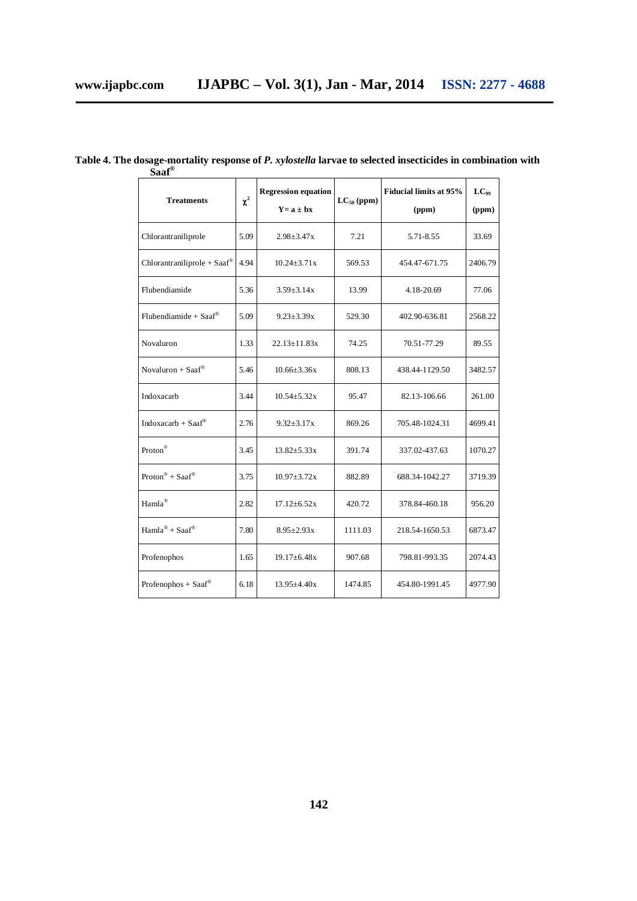| <b>Treatments</b>                       | $\chi^2$ | <b>Regression equation</b><br>$Y = a \pm bx$ | $LC_{50}$ (ppm) | <b>Fiducial limits at 95%</b><br>(ppm) | $LC_{99}$<br>(ppm) |
|-----------------------------------------|----------|----------------------------------------------|-----------------|----------------------------------------|--------------------|
| Chlorantraniliprole                     | 5.09     | $2.98 \pm 3.47x$                             | 7.21            | 5.71-8.55                              | 33.69              |
| $Chlorantrainliprole + Saaf^@$          | 4.94     | $10.24 \pm 3.71x$                            | 569.53          | 454.47-671.75                          | 2406.79            |
| Flubendiamide                           | 5.36     | $3.59 \pm 3.14x$                             | 13.99           | 4.18-20.69                             | 77.06              |
| Flubendiamide + $Saaf^{\circledast}$    | 5.09     | $9.23 \pm 3.39x$                             | 529.30          | 402.90-636.81                          | 2568.22            |
| Novaluron                               | 1.33     | $22.13 \pm 11.83x$                           | 74.25           | 70.51-77.29                            | 89.55              |
| Novaluron + Saaf <sup>®</sup>           | 5.46     | $10.66 \pm 3.36x$                            | 808.13          | 438.44-1129.50                         | 3482.57            |
| Indoxacarb                              | 3.44     | $10.54 \pm 5.32x$                            | 95.47           | 82.13-106.66                           | 261.00             |
| Indoxacarb + $S$ aaf®                   | 2.76     | $9.32 \pm 3.17x$                             | 869.26          | 705.48-1024.31                         | 4699.41            |
| Proton <sup>®</sup>                     | 3.45     | $13.82 \pm 5.33x$                            | 391.74          | 337.02-437.63                          | 1070.27            |
| $Proton^{\circledR} + Saaf^{\circledR}$ | 3.75     | $10.97 \pm 3.72x$                            | 882.89          | 688.34-1042.27                         | 3719.39            |
| Hamla®                                  | 2.82     | $17.12 \pm 6.52x$                            | 420.72          | 378.84-460.18                          | 956.20             |
| $Hamla^{\circledR} + Saaf^{\circledR}$  | 7.80     | $8.95 \pm 2.93x$                             | 1111.03         | 218.54-1650.53                         | 6873.47            |
| Profenophos                             | 1.65     | $19.17\pm 6.48x$                             | 907.68          | 798.81-993.35                          | 2074.43            |
| Profenophos + Saaf®                     | 6.18     | $13.95 \pm 4.40x$                            | 1474.85         | 454.80-1991.45                         | 4977.90            |

**Table 4. The dosage-mortality response of** *P. xylostella* **larvae to selected insecticides in combination with Saaf®**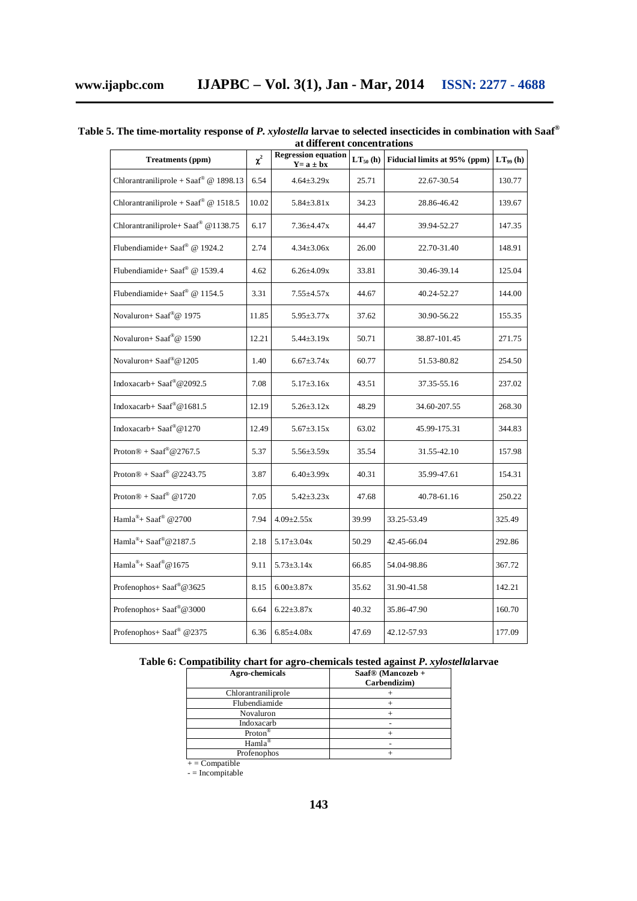| <b>Treatments (ppm)</b>               | $\chi^2$ | <b>Regression equation</b><br>$Y = a \pm bx$ | $LT_{50}$ (h) | Fiducial limits at 95% (ppm) | $LT_{99}$ (h) |
|---------------------------------------|----------|----------------------------------------------|---------------|------------------------------|---------------|
| Chlorantraniliprole + Saaf® @ 1898.13 | 6.54     | $4.64 \pm 3.29x$                             | 25.71         | 22.67-30.54                  | 130.77        |
| Chlorantraniliprole + Saaf® @ 1518.5  | 10.02    | $5.84 \pm 3.81 x$                            | 34.23         | 28.86-46.42                  | 139.67        |
| Chlorantraniliprole+ Saaf® @1138.75   | 6.17     | $7.36{\pm}4.47x$                             | 44.47         | 39.94-52.27                  | 147.35        |
| Flubendiamide+ Saaf® @ 1924.2         | 2.74     | $4.34 \pm 3.06x$                             | 26.00         | 22.70-31.40                  | 148.91        |
| Flubendiamide+ Saaf® @ 1539.4         | 4.62     | $6.26{\pm}4.09x$                             | 33.81         | 30.46-39.14                  | 125.04        |
| Flubendiamide+ Saaf® @ 1154.5         | 3.31     | $7.55 \pm 4.57x$                             | 44.67         | 40.24-52.27                  | 144.00        |
| Novaluron+ Saaf®@ 1975                | 11.85    | $5.95 \pm 3.77x$                             | 37.62         | 30.90-56.22                  | 155.35        |
| Novaluron+ Saaf®@ 1590                | 12.21    | $5.44 \pm 3.19x$                             | 50.71         | 38.87-101.45                 | 271.75        |
| Novaluron+ Saaf®@1205                 | 1.40     | $6.67 \pm 3.74x$                             | 60.77         | 51.53-80.82                  | 254.50        |
| Indoxacarb+ Saaf®@2092.5              | 7.08     | $5.17 \pm 3.16x$                             | 43.51         | 37.35-55.16                  | 237.02        |
| Indoxacarb+ Saaf®@1681.5              | 12.19    | $5.26 \pm 3.12x$                             | 48.29         | 34.60-207.55                 | 268.30        |
| Indoxacarb+ Saaf®@1270                | 12.49    | $5.67 \pm 3.15x$                             | 63.02         | 45.99-175.31                 | 344.83        |
| Proton $\mathcal{D}$ + Saaf®@2767.5   | 5.37     | $5.56 \pm 3.59x$                             | 35.54         | 31.55-42.10                  | 157.98        |
| Proton $\circledR$ + Saaf® @2243.75   | 3.87     | $6.40{\pm}3.99x$                             | 40.31         | 35.99-47.61                  | 154.31        |
| Proton $@ + Saaf$ <sup>®</sup> @1720  | 7.05     | $5.42 \pm 3.23x$                             | 47.68         | 40.78-61.16                  | 250.22        |
| Hamla®+ Saaf® @2700                   | 7.94     | $4.09 \pm 2.55x$                             | 39.99         | 33.25-53.49                  | 325.49        |
| Hamla <sup>®</sup> + Saaf®@2187.5     | 2.18     | $5.17 \pm 3.04x$                             | 50.29         | 42.45-66.04                  | 292.86        |
| Hamla <sup>®</sup> + Saaf®@1675       | 9.11     | $5.73 \pm 3.14x$                             | 66.85         | 54.04-98.86                  | 367.72        |
| Profenophos+ Saaf®@3625               | 8.15     | $6.00 \pm 3.87x$                             | 35.62         | 31.90-41.58                  | 142.21        |
| Profenophos+ Saaf®@3000               | 6.64     | $6.22 \pm 3.87x$                             | 40.32         | 35.86-47.90                  | 160.70        |
| Profenophos+ Saaf® @2375              | 6.36     | $6.85 \pm 4.08x$                             | 47.69         | 42.12-57.93                  | 177.09        |

#### **Table 5. The time-mortality response of** *P. xylostella* **larvae to selected insecticides in combination with Saaf® at different concentrations**

#### **Table 6: Compatibility chart for agro-chemicals tested against** *P. xylostella***larvae**

| Agro-chemicals                      | Saaf <sup>®</sup> (Mancozeb +<br>Carbendizim) |
|-------------------------------------|-----------------------------------------------|
| Chlorantraniliprole                 |                                               |
| Flubendiamide                       |                                               |
| Novaluron                           |                                               |
| Indoxacarb                          |                                               |
| Proton <sup>®</sup>                 |                                               |
| $\text{Hamla}^{\circledR}$          |                                               |
| Profenophos                         |                                               |
| $L = \mathcal{C}_{\text{anmathlo}}$ |                                               |

 $+ =$  Compatible

- = Incompitable